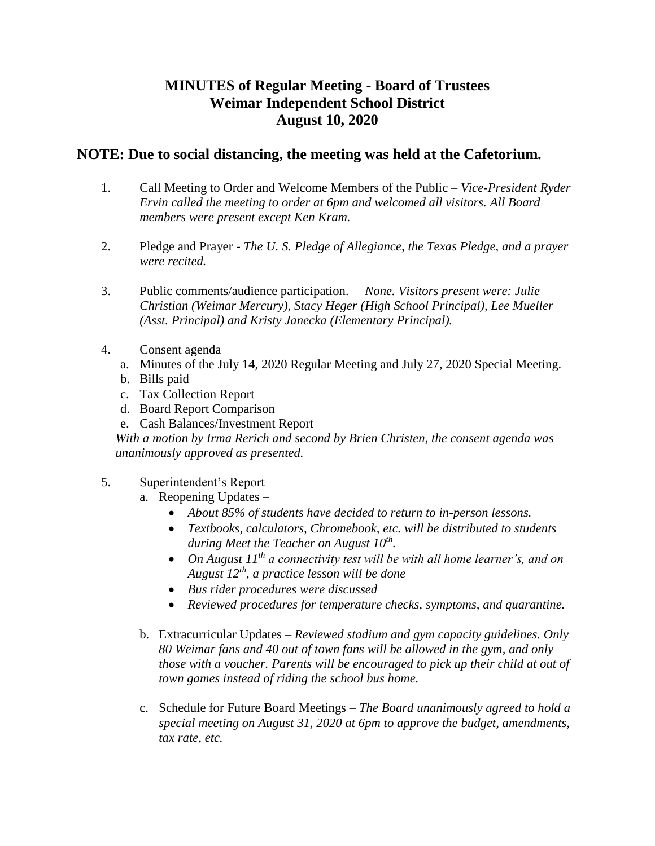## **MINUTES of Regular Meeting - Board of Trustees Weimar Independent School District August 10, 2020**

## **NOTE: Due to social distancing, the meeting was held at the Cafetorium.**

- 1. Call Meeting to Order and Welcome Members of the Public *Vice-President Ryder Ervin called the meeting to order at 6pm and welcomed all visitors. All Board members were present except Ken Kram.*
- 2. Pledge and Prayer *The U. S. Pledge of Allegiance, the Texas Pledge, and a prayer were recited.*
- 3. Public comments/audience participation. *None. Visitors present were: Julie Christian (Weimar Mercury), Stacy Heger (High School Principal), Lee Mueller (Asst. Principal) and Kristy Janecka (Elementary Principal).*
- 4. Consent agenda
	- a. Minutes of the July 14, 2020 Regular Meeting and July 27, 2020 Special Meeting.
	- b. Bills paid
	- c. Tax Collection Report
	- d. Board Report Comparison
	- e. Cash Balances/Investment Report

*With a motion by Irma Rerich and second by Brien Christen, the consent agenda was unanimously approved as presented.* 

## 5. Superintendent's Report

- a. Reopening Updates
	- *About 85% of students have decided to return to in-person lessons.*
	- *Textbooks, calculators, Chromebook, etc. will be distributed to students during Meet the Teacher on August 10th .*
	- *On August 11th a connectivity test will be with all home learner's, and on August 12th, a practice lesson will be done*
	- *Bus rider procedures were discussed*
	- *Reviewed procedures for temperature checks, symptoms, and quarantine.*
- b. Extracurricular Updates *Reviewed stadium and gym capacity guidelines. Only 80 Weimar fans and 40 out of town fans will be allowed in the gym, and only those with a voucher. Parents will be encouraged to pick up their child at out of town games instead of riding the school bus home.*
- c. Schedule for Future Board Meetings *The Board unanimously agreed to hold a special meeting on August 31, 2020 at 6pm to approve the budget, amendments, tax rate, etc.*